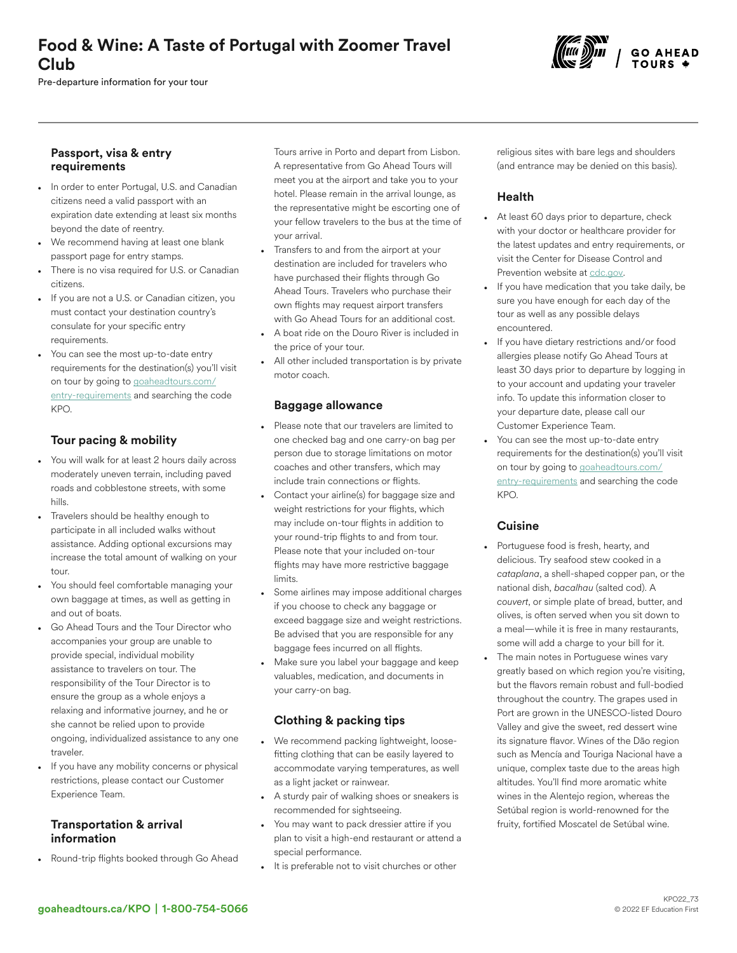## Food & Wine: A Taste of Portugal with Zoomer Travel Club

Pre-departure information for your tour



### Passport, visa & entry requirements

- In order to enter Portugal, U.S. and Canadian citizens need a valid passport with an expiration date extending at least six months beyond the date of reentry.
- We recommend having at least one blank passport page for entry stamps.
- There is no visa required for U.S. or Canadian citizens.
- If you are not a U.S. or Canadian citizen, you must contact your destination country's consulate for your specific entry requirements.
- You can see the most up-to-date entry requirements for the destination(s) you'll visit on tour by going to [goaheadtours.com/](/entry-requirements?tourCode=KPO) [entry-requirements](/entry-requirements?tourCode=KPO) and searching the code KPO.

## Tour pacing & mobility

- You will walk for at least 2 hours daily across moderately uneven terrain, including paved roads and cobblestone streets, with some hills.
- Travelers should be healthy enough to participate in all included walks without assistance. Adding optional excursions may increase the total amount of walking on your tour.
- You should feel comfortable managing your own baggage at times, as well as getting in and out of boats.
- Go Ahead Tours and the Tour Director who accompanies your group are unable to provide special, individual mobility assistance to travelers on tour. The responsibility of the Tour Director is to ensure the group as a whole enjoys a relaxing and informative journey, and he or she cannot be relied upon to provide ongoing, individualized assistance to any one traveler.
- If you have any mobility concerns or physical restrictions, please contact our Customer Experience Team.

## Transportation & arrival information

• Round-trip flights booked through Go Ahead

Tours arrive in Porto and depart from Lisbon. A representative from Go Ahead Tours will meet you at the airport and take you to your hotel. Please remain in the arrival lounge, as the representative might be escorting one of your fellow travelers to the bus at the time of your arrival.

- Transfers to and from the airport at your destination are included for travelers who have purchased their flights through Go Ahead Tours. Travelers who purchase their own flights may request airport transfers with Go Ahead Tours for an additional cost.
- A boat ride on the Douro River is included in the price of your tour.
- All other included transportation is by private motor coach.

### Baggage allowance

- Please note that our travelers are limited to one checked bag and one carry-on bag per person due to storage limitations on motor coaches and other transfers, which may include train connections or flights.
- Contact your airline(s) for baggage size and weight restrictions for your flights, which may include on-tour flights in addition to your round-trip flights to and from tour. Please note that your included on-tour flights may have more restrictive baggage limits.
- Some airlines may impose additional charges if you choose to check any baggage or exceed baggage size and weight restrictions. Be advised that you are responsible for any baggage fees incurred on all flights.
- Make sure you label your baggage and keep valuables, medication, and documents in your carry-on bag.

## Clothing & packing tips

- We recommend packing lightweight, loosefitting clothing that can be easily layered to accommodate varying temperatures, as well as a light jacket or rainwear.
- A sturdy pair of walking shoes or sneakers is recommended for sightseeing.
- You may want to pack dressier attire if you plan to visit a high-end restaurant or attend a special performance.
- It is preferable not to visit churches or other

religious sites with bare legs and shoulders (and entrance may be denied on this basis).

## Health

- At least 60 days prior to departure, check with your doctor or healthcare provider for the latest updates and entry requirements, or visit the Center for Disease Control and Prevention website at [cdc.gov.](https://www.cdc.gov/)
- If you have medication that you take daily, be sure you have enough for each day of the tour as well as any possible delays encountered.
- If you have dietary restrictions and/or food allergies please notify Go Ahead Tours at least 30 days prior to departure by logging in to your account and updating your traveler info. To update this information closer to your departure date, please call our Customer Experience Team.
- You can see the most up-to-date entry requirements for the destination(s) you'll visit on tour by going to [goaheadtours.com/](/entry-requirements?tourCode=KPO) [entry-requirements](/entry-requirements?tourCode=KPO) and searching the code KPO.

### **Cuisine**

- Portuguese food is fresh, hearty, and delicious. Try seafood stew cooked in a *cataplana*, a shell-shaped copper pan, or the national dish, *bacalhau* (salted cod). A *couvert*, or simple plate of bread, butter, and olives, is often served when you sit down to a meal—while it is free in many restaurants, some will add a charge to your bill for it.
- The main notes in Portuguese wines vary greatly based on which region you're visiting, but the flavors remain robust and full-bodied throughout the country. The grapes used in Port are grown in the UNESCO-listed Douro Valley and give the sweet, red dessert wine its signature flavor. Wines of the Dão region such as Mencía and Touriga Nacional have a unique, complex taste due to the areas high altitudes. You'll find more aromatic white wines in the Alentejo region, whereas the Setúbal region is world-renowned for the fruity, fortified Moscatel de Setúbal wine.